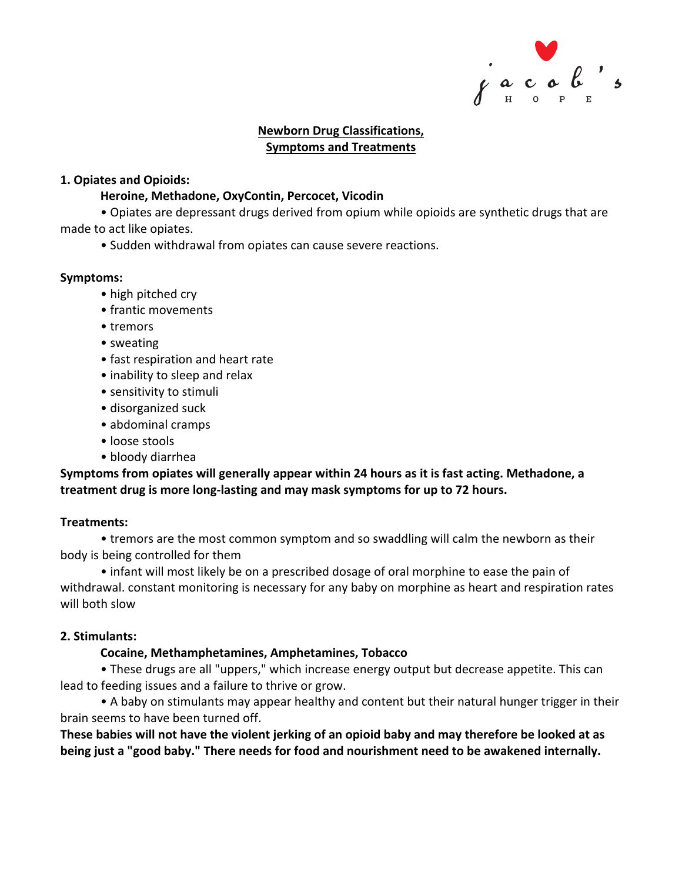

### **Newborn Drug Classifications, Symptoms and Treatments**

### **1. Opiates and Opioids:**

### **Heroine, Methadone, OxyContin, Percocet, Vicodin**

• Opiates are depressant drugs derived from opium while opioids are synthetic drugs that are made to act like opiates.

• Sudden withdrawal from opiates can cause severe reactions.

### **Symptoms:**

- high pitched cry
- frantic movements
- tremors
- sweating
- fast respiration and heart rate
- inability to sleep and relax
- sensitivity to stimuli
- disorganized suck
- abdominal cramps
- loose stools
- bloody diarrhea

# **Symptoms from opiates will generally appear within 24 hours as it is fast acting. Methadone, a treatment drug is more long-lasting and may mask symptoms for up to 72 hours.**

### **Treatments:**

• tremors are the most common symptom and so swaddling will calm the newborn as their body is being controlled for them

• infant will most likely be on a prescribed dosage of oral morphine to ease the pain of withdrawal. constant monitoring is necessary for any baby on morphine as heart and respiration rates will both slow

### **2. Stimulants:**

# **Cocaine, Methamphetamines, Amphetamines, Tobacco**

• These drugs are all "uppers," which increase energy output but decrease appetite. This can lead to feeding issues and a failure to thrive or grow.

• A baby on stimulants may appear healthy and content but their natural hunger trigger in their brain seems to have been turned off.

**These babies will not have the violent jerking of an opioid baby and may therefore be looked at as being just a "good baby." There needs for food and nourishment need to be awakened internally.**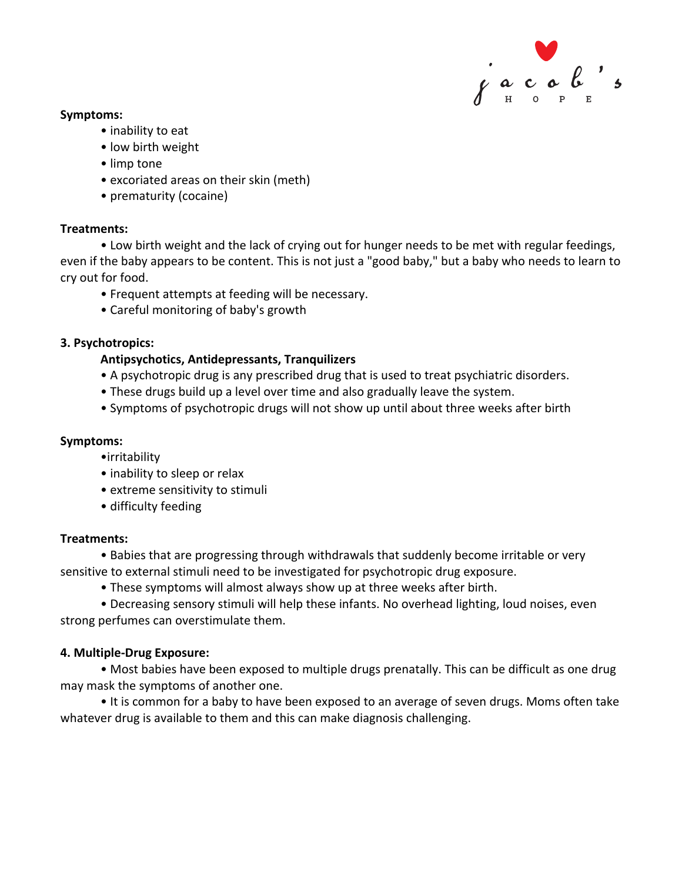

### **Symptoms:**

- inability to eat
- low birth weight
- limp tone
- excoriated areas on their skin (meth)
- prematurity (cocaine)

### **Treatments:**

• Low birth weight and the lack of crying out for hunger needs to be met with regular feedings, even if the baby appears to be content. This is not just a "good baby," but a baby who needs to learn to cry out for food.

- Frequent attempts at feeding will be necessary.
- Careful monitoring of baby's growth

### **3. Psychotropics:**

# **Antipsychotics, Antidepressants, Tranquilizers**

- A psychotropic drug is any prescribed drug that is used to treat psychiatric disorders.
- These drugs build up a level over time and also gradually leave the system.
- Symptoms of psychotropic drugs will not show up until about three weeks after birth

### **Symptoms:**

- •irritability
- inability to sleep or relax
- extreme sensitivity to stimuli
- difficulty feeding

### **Treatments:**

• Babies that are progressing through withdrawals that suddenly become irritable or very sensitive to external stimuli need to be investigated for psychotropic drug exposure.

• These symptoms will almost always show up at three weeks after birth.

• Decreasing sensory stimuli will help these infants. No overhead lighting, loud noises, even strong perfumes can overstimulate them.

### **4. Multiple-Drug Exposure:**

• Most babies have been exposed to multiple drugs prenatally. This can be difficult as one drug may mask the symptoms of another one.

• It is common for a baby to have been exposed to an average of seven drugs. Moms often take whatever drug is available to them and this can make diagnosis challenging.